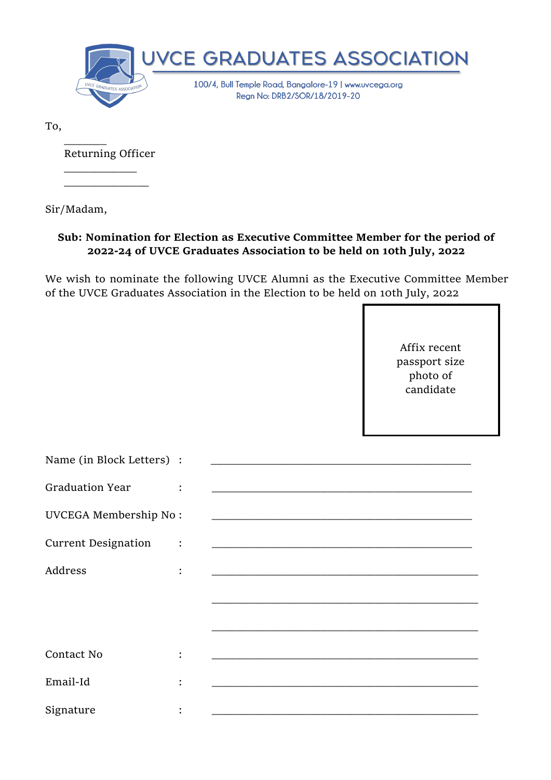

To,

Returning Officer

 $\overline{\phantom{a}}$  , and the set of the set of the set of the set of the set of the set of the set of the set of the set of the set of the set of the set of the set of the set of the set of the set of the set of the set of the s

 $\frac{1}{2}$ 

Sir/Madam,

 $\frac{1}{\sqrt{2}}$ 

## **Sub: Nomination for Election as Executive Committee Member for the period of 2022-24 of UVCE Graduates Association to be held on 10th July, 2022**

We wish to nominate the following UVCE Alumni as the Executive Committee Member of the UVCE Graduates Association in the Election to be held on 10th July, 2022

> Affix recent passport size photo of candidate

| Name (in Block Letters) :    |                                                                                                                      |
|------------------------------|----------------------------------------------------------------------------------------------------------------------|
| <b>Graduation Year</b>       |                                                                                                                      |
| <b>UVCEGA Membership No:</b> | and the control of the control of the control of the control of the control of the control of the control of the     |
| <b>Current Designation</b>   | <u> 1989 - Johann John Stone, mars et al. 1989 - John Stone, mars et al. 1989 - John Stone, mars et al. 198</u>      |
| Address                      |                                                                                                                      |
|                              |                                                                                                                      |
|                              |                                                                                                                      |
| Contact No                   |                                                                                                                      |
| Email-Id                     |                                                                                                                      |
| Signature                    | <u> 1989 - Johann John Stone, mars eta bat eta bat eta bat eta bat eta bat ez arteko harta bat eta bat eta bat e</u> |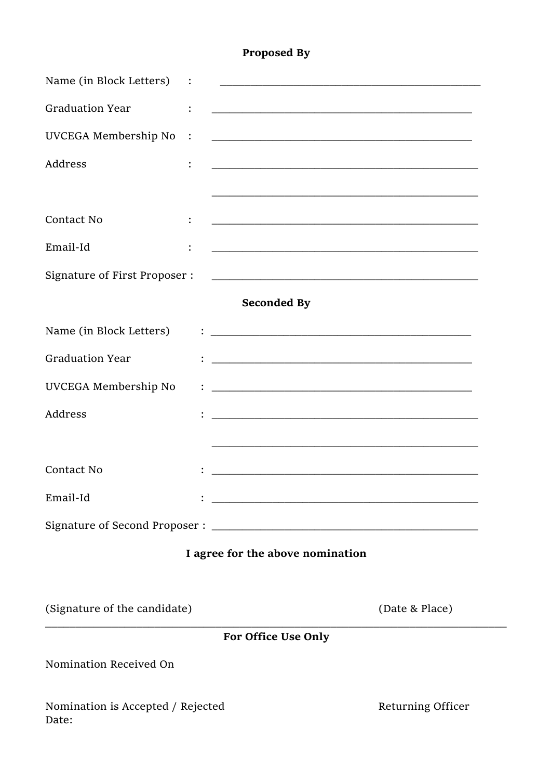## **Proposed By**

| Name (in Block Letters)                        | <u> 1989 - Johann Barbara, martin da basar da basar da basar da basar da basar da basar da basar da basar</u>              |                   |
|------------------------------------------------|----------------------------------------------------------------------------------------------------------------------------|-------------------|
| <b>Graduation Year</b><br>$\ddot{\cdot}$       | <u> 1989 - Johann John Stoff, deutscher Stoffen und der Stoffen und der Stoffen und der Stoffen und der Stoffen</u>        |                   |
| UVCEGA Membership No<br>$\ddot{\phantom{a}}$ : |                                                                                                                            |                   |
| Address                                        |                                                                                                                            |                   |
|                                                |                                                                                                                            |                   |
| Contact No                                     | <u> 1989 - Johann John Stone, market fan de Amerikaanske kommunister fan de Amerikaanske kommunister fan de Amerikaans</u> |                   |
| Email-Id                                       | <u> 1980 - Johann John Stein, mars an deus fan it ferfing fan de ferfing fan it ferfing fan de ferfing fan it fer</u>      |                   |
| Signature of First Proposer :                  |                                                                                                                            |                   |
|                                                | <b>Seconded By</b>                                                                                                         |                   |
| Name (in Block Letters)                        | <u> 1989 - Johann Barbara, martin amerikan basal dan berasal dan berasal dalam basal dan berasal dan berasal dan</u>       |                   |
| <b>Graduation Year</b>                         |                                                                                                                            |                   |
| UVCEGA Membership No                           |                                                                                                                            |                   |
| Address                                        |                                                                                                                            |                   |
|                                                | and the control of the control of the control of the control of the control of the control of the control of the           |                   |
| Contact No                                     |                                                                                                                            |                   |
| Email-Id                                       | <u> 1989 - Johann Harry Harry Harry Harry Harry Harry Harry Harry Harry Harry Harry Harry Harry Harry Harry Harry</u>      |                   |
|                                                |                                                                                                                            |                   |
|                                                | I agree for the above nomination                                                                                           |                   |
| (Signature of the candidate)                   |                                                                                                                            | (Date & Place)    |
|                                                | For Office Use Only                                                                                                        |                   |
| Nomination Received On                         |                                                                                                                            |                   |
| Nomination is Accepted / Rejected<br>Date:     |                                                                                                                            | Returning Officer |